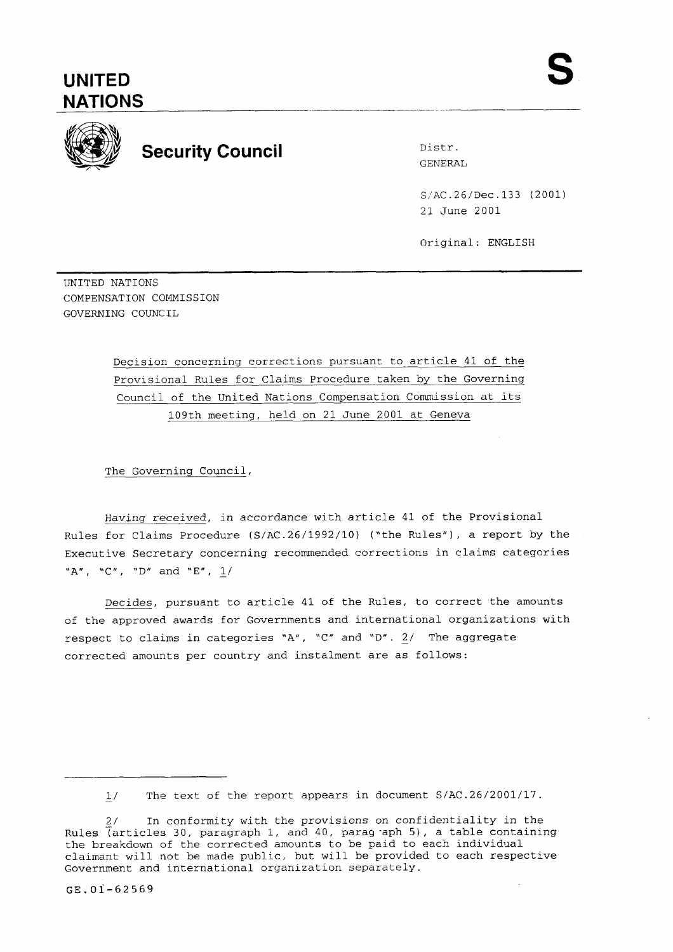# **NATIONS**



## **Security Council Distress Security Council**

GENERAL

S:AC.26/Dec.133 (2001) 21 June 2001

Original: ENGLISH

UNITED NATIONS COMPENSATION COMMISSION GOVERNING COUNCIL

> Decision concerning corrections pursuant to article 41 of the Provisional Rules for Claims Procedure taken by the Governing Council of the United Nations Compensation Commission at its 109th meeting, held on 21 June 2001 at Geneva

The Governing Council,

Having received, in accordance with article 41 of the Provisional Rules for Claims Procedure (S/AC.26/1992/10) ("the Rules"), a report by the Executive Secretary concerning recommended corrections in claims categories **"A", "C", "D" and "E", 1/** 

Decides, pursuant to article 41 of the Rules, to correct the amounts of the approved awards for Governments and international organizations with respect to claims in categories "A", "C" and "D". 2/ The aggregate corrected amounts per country and instalment are as follows:

 $1/$ The text of the report appears in document S/AC.26/2001/17.

<sup>2/</sup> In conformity with the provisions on confidentiality in the Rules  $\overline{a}$  (articles 30, paragraph 1, and 40, parag aph 5), a table containing the breakdown of the corrected amounts to be paid to each individual claimant will not be made public, but will be provided to each respective Government and international organization separately.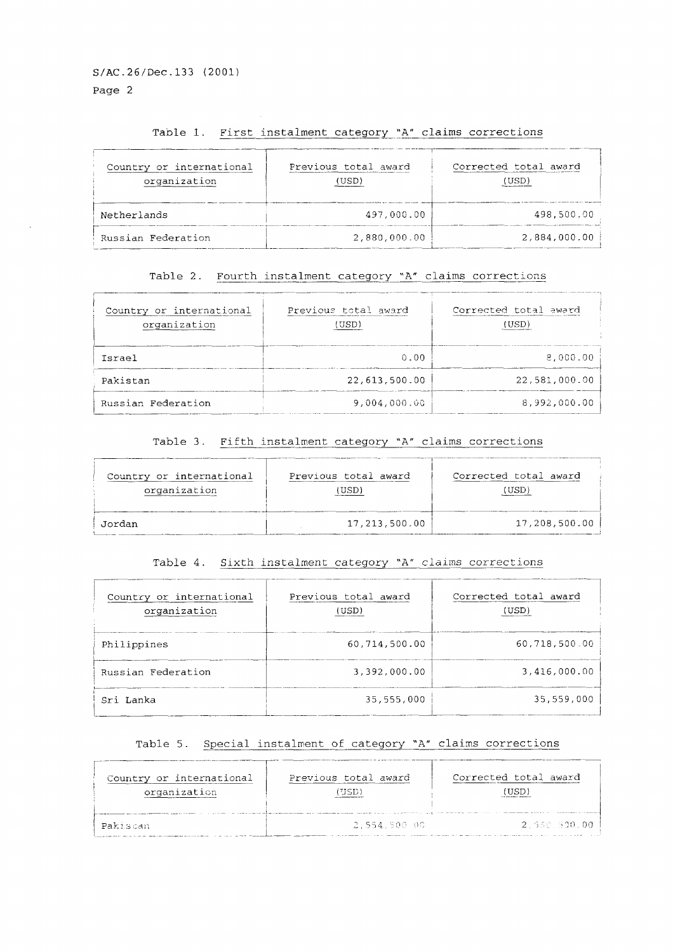#### Table 1. First instalment category "A" claims corrections

| Country or international<br>organization | Previous total award<br>(USD) | Corrected total award<br>"JSD. |
|------------------------------------------|-------------------------------|--------------------------------|
| Netherlands                              | 497.000.00                    | 498,500.00                     |
| Russian Federation                       | 2,880,000.00                  | 2,884,000.00                   |

#### Table 2. Fourth instalment category "A" claims corrections

| Country or international<br>organization | Previous total award<br>USD) | Corrected total award<br>(USD) |
|------------------------------------------|------------------------------|--------------------------------|
| Tsrael                                   | 0.00                         | 8.000.00                       |
| Pakistan                                 | 22,613,500.00                | 22,581,000.00                  |
| Russian Federation                       | 9,004,000.00                 | 8,992,000.00                   |

#### Table 3. Fifth instalment category "A" claims corrections

| Country or international | Previous total award | Corrected total award |
|--------------------------|----------------------|-----------------------|
| organization             | USD)                 | USD.                  |
| Jordan                   | 17,213,500.00        | 17,208,500.00         |

#### Table 4. Sixth instalment category "A" claims corrections

| Country or international<br>organization | Previous total award<br>(USD) | Corrected total award<br>(USD) |
|------------------------------------------|-------------------------------|--------------------------------|
| Philippines                              | 60.714.500.00                 | 60,718,500.00                  |
| Russian Federation                       | 3.392.000.00                  | 3,416,000.00                   |
| Sri Lanka                                | 35,555,000                    | 35,559,000                     |

#### Table 5. Special instalment of category "A" claims corrections

| Country or international<br>organization | Previous total award | Corrected total award |
|------------------------------------------|----------------------|-----------------------|
| Pakiscan                                 | -2.554.500.00        | -2 - 550 - 500.00 i   |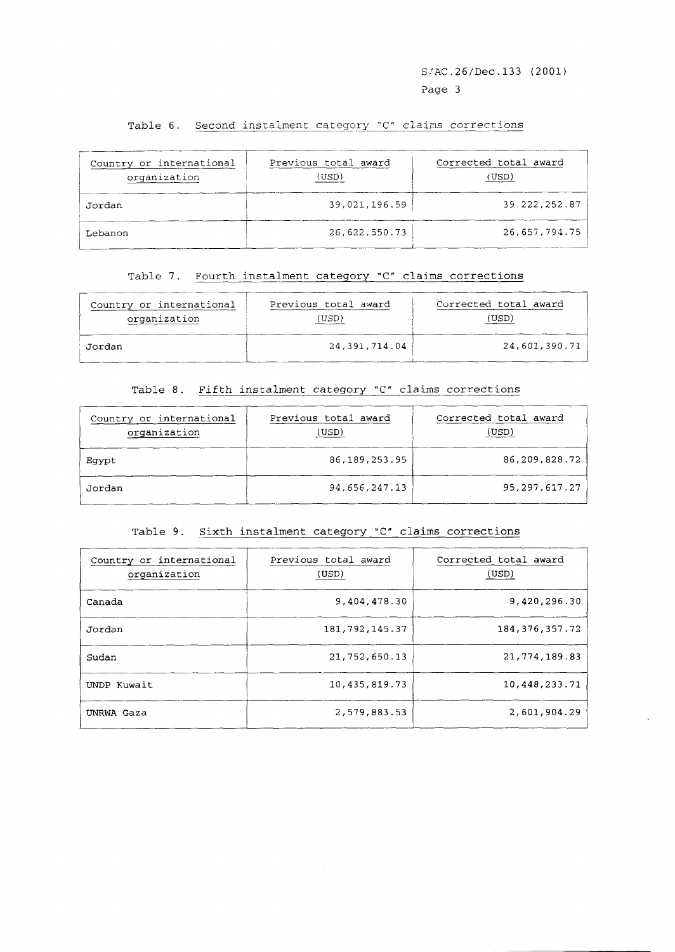#### Table 6. Second instalment category "C" claims corrections

|                                          |                                                            | S/AC.26/Dec.133 (2001)<br>Page 3 |
|------------------------------------------|------------------------------------------------------------|----------------------------------|
|                                          | Table 6. Second instalment category "C" claims corrections |                                  |
| Country or international<br>organization | Previous total award<br>(USD)                              | Corrected total award<br>(USD)   |
| Jordan                                   | 39,021,196.59                                              | 39.222.252.87                    |
| Lebanon                                  | 26,622,550.73                                              | 26,657,794.75                    |

#### Table 7. Fourth instalment category 'C" claims corrections

| Country or international | Previous total award | Corrected total award |
|--------------------------|----------------------|-----------------------|
| organization             | USD'                 | (USD)                 |
| Jordan                   | 24, 391, 714, 04     | 24,601,390.71         |

#### Table 8. Fifth instalment category 'C" claims corrections

| Country or international<br>organization | Previous total award<br>(USD) | Corrected total award<br>(USD) |
|------------------------------------------|-------------------------------|--------------------------------|
| Eqypt                                    | 86, 189, 253, 95              | 86,209,828.72                  |
| Jordan                                   | 94,656,247.13                 | 95, 297, 617. 27               |

#### Table 9. Sixth instalment category "C" claims corrections

| Country or international<br>organization | Previous total award<br>(USD) | Corrected total award<br>(USD) |
|------------------------------------------|-------------------------------|--------------------------------|
| Canada                                   | 9,404,478.30                  | 9,420,296.30                   |
| Jordan                                   | 181,792,145.37                | 184, 376, 357. 72              |
| Sudan                                    | 21,752,650.13                 | 21,774,189.83                  |
| UNDP Kuwait                              | 10, 435, 819. 73              | 10,448,233.71                  |
| UNRWA Gaza                               | 2,579,883.53                  | 2,601,904.29                   |

 $\sim 40^{\circ}$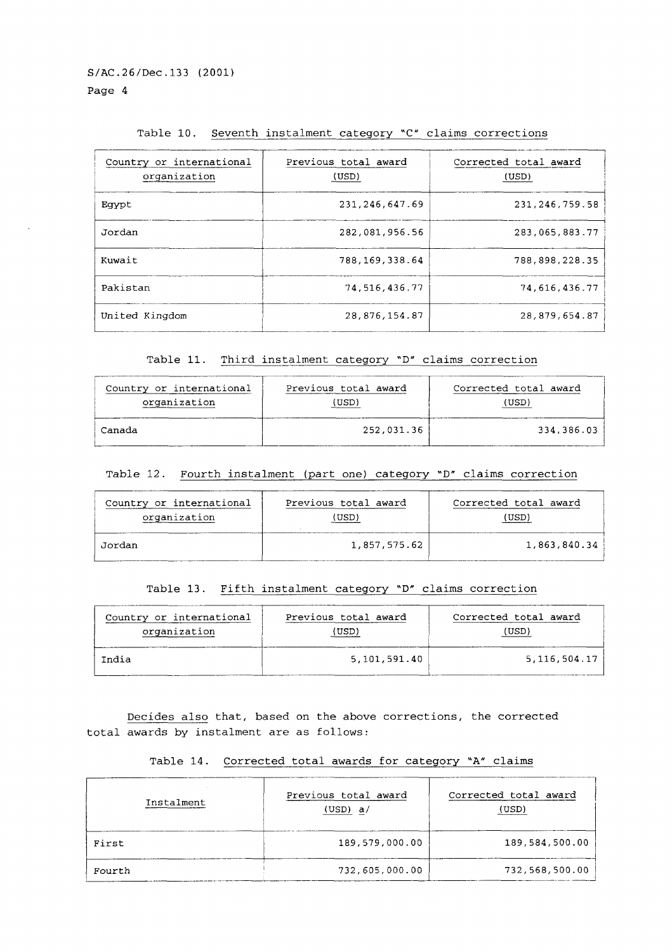#### Table 10. Seventh instalment category "C" claims corrections

| Country or international<br>organization | Previous total award<br>(USD) | Corrected total award<br>(USD) |
|------------------------------------------|-------------------------------|--------------------------------|
| Eqypt                                    | 231, 246, 647.69              | 231, 246, 759.58               |
| Jordan                                   | 282,081,956.56                | 283,065,883.77                 |
| Kuwait                                   | 788, 169, 338.64              | 788,898,228.35                 |
| Pakistan                                 | 74,516,436.77                 | 74,616,436.77                  |
| United Kingdom                           | 28,876,154.87                 | 28,879,654.87                  |

Table 11. Third instalment category **'D"** claims correction

| Country or international | Previous total award | Corrected total award |
|--------------------------|----------------------|-----------------------|
| organization             | (USD)                | (USD)                 |
| Canada                   | 252,031.36           | 334,386.03            |

| Country or international | Previous total award | Corrected total award |
|--------------------------|----------------------|-----------------------|
| organization             | (USD)                | USD                   |
| Jordan                   | 1,857,575.62         | 1,863,840.34          |

#### Table 13. Fifth instalment category **'D"** claims correction

| Country or international | Previous total award | Corrected total award |
|--------------------------|----------------------|-----------------------|
| organization             | USD)                 | USD)                  |
| India                    | 5,101,591.40         | 5,116,504.17          |

| Table 14. Corrected total awards for category "A" claims |  |  |
|----------------------------------------------------------|--|--|
|                                                          |  |  |

| (USD)                                                                                                                                                            | (USD)                          |  |
|------------------------------------------------------------------------------------------------------------------------------------------------------------------|--------------------------------|--|
| 252,031.36                                                                                                                                                       | 334,386.03                     |  |
| Fourth instalment (part one) category "D" claims correction                                                                                                      |                                |  |
| Previous total award<br>Corrected total award<br>(USD)<br>(USD)                                                                                                  |                                |  |
| 1,857,575.62                                                                                                                                                     | 1,863,840.34                   |  |
| Table 13. Fifth instalment category "D" claims correction                                                                                                        |                                |  |
| Previous total award<br>(USD)                                                                                                                                    | Corrected total award<br>(USD) |  |
| 5,101,591.40                                                                                                                                                     | 5, 116, 504.17                 |  |
| Decides also that, based on the above corrections, the corrected<br>total awards by instalment are as follows:<br>Corrected total awards for category "A" claims |                                |  |
| Previous total award<br>(USD) a/                                                                                                                                 | Corrected total award<br>(USD) |  |
| 189,579,000.00                                                                                                                                                   | 189,584,500.00                 |  |
| 732,605,000.00                                                                                                                                                   | 732,568,500.00                 |  |
|                                                                                                                                                                  |                                |  |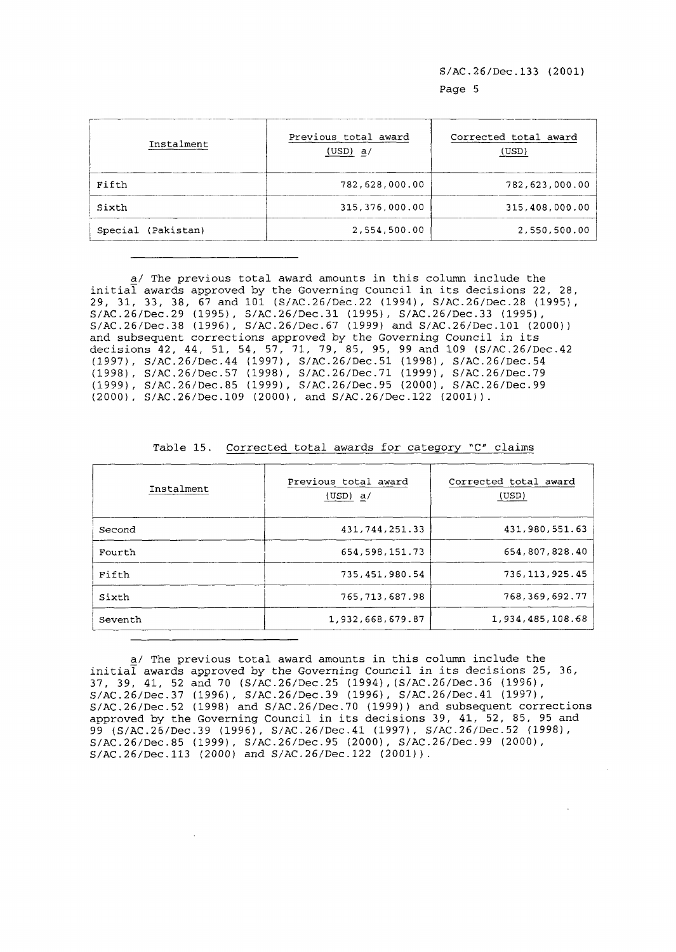| Instalment         | Previous total award<br>(USD) a/ | Corrected total award<br>(USD) |
|--------------------|----------------------------------|--------------------------------|
| Fifth              | 782,628,000.00                   | 782,623,000.00                 |
| Sixth              | 315, 376, 000.00                 | 315,408,000.00                 |
| Special (Pakistan) | 2,554,500.00                     | 2,550,500.00                   |

a/ The previous total award amounts in this column include the  $initial$  awards approved by the Governing Council in its decisions 22, 28, 29, 31, 33, 38, 67 and 101 (S/AC.26/Dec.22 (19941, S/AC.26/Dec.28 (19951, S/AC.26/Dec.29 (1995), S/AC.26/Dec.31 (19951, S/AC.26/Dec.33 (19951, S/AC.26/Dec.38 (19961, S/AC.26/Dec.67 (1999) and S/AC.26/Dec.lOl (2000)) and subsequent corrections approved by the Governing Council in its decisions 42, 44, 51, 54, 57, 71, 79, 85, 95, 99 and 109 (S/AC.26/Dec.42 (1997), S/AC.26/Dec.44 (1997), S/AC.26/Dec.51 (19981, S/AC.26/Dec.54 (1998), S/AC.26/Dec.57 (1998), S/AC.26/Dec.71 (1999), S/AC.26/Dec.79 (1999), S/AC.26/Dec.85 (1999), S/AC.26/Dec.95 (2000), S/AC.26/Dec.99 (2000), S/AC.26/Dec.109 (2000), and S/AC.26/Dec.122 (2001)).

| Instalment | Previous total award<br>(USD) a/ | Corrected total award<br>(USD) |
|------------|----------------------------------|--------------------------------|
| Second     | 431,744,251.33                   | 431,980,551.63                 |
| Fourth     | 654, 598, 151. 73                | 654,807,828.40                 |
| Fifth      | 735, 451, 980.54                 | 736.113.925.45                 |
| Sixth      | 765,713,687.98                   | 768, 369, 692. 77              |
| Seventh    | 1,932,668,679.87                 | 1,934,485,108.68               |

Table 15. Corrected total awards for category "C" claims

a/ The previous total award amounts in this column include the initial awards approved by the Governing Council in its decisions 25, 36, 37, 39, 41, 52 and 70 (S/AC.26/Dec.25 (1994),(S/AC.26/Dec.36 (19961, S/AC.26/Dec.37 (1996), S/AC.26/Dec.39 (1996), S/AC.26/Dec.41 (19971, S/AC.26/Dec.52 (1998) and S/AC.26/Dec.70 (1999)) and subsequent corrections approved by the Governing Council in its decisions 39, 41, 52, 85, 95 and 99 (S/AC.26/Dec.39 (1996), S/AC.26/Dec.41 (1997), S/AC.26/Dec.52 (19981, S/AC.26/Dec.85 (1999), S/AC.26/Dec.95 (2000), S/AC.26/Dec.99 (2000), S/AC.26/Dec.113 (2000) and S/AC.26/Dec.122 (2001)).